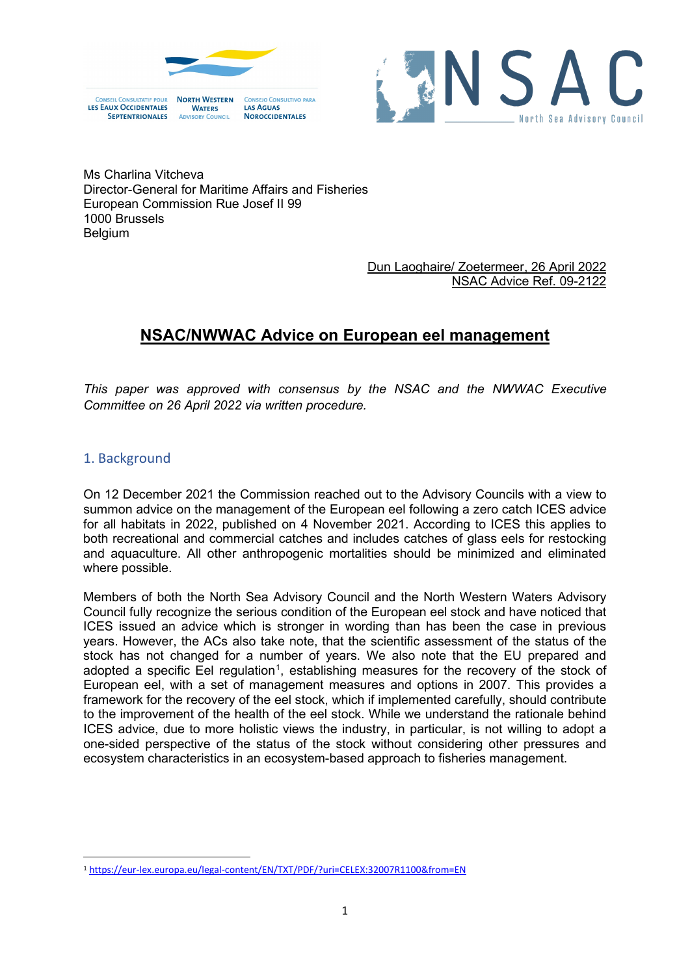

**NOROCCIDENTALES** 

**WATERS** 

**COUNCIL** 

**SEPTENTRIONALES** 



Ms Charlina Vitcheva Director-General for Maritime Affairs and Fisheries European Commission Rue Josef II 99 1000 Brussels Belgium

#### Dun Laoghaire/ Zoetermeer, 26 April 2022 NSAC Advice Ref. 09-2122

# **NSAC/NWWAC Advice on European eel management**

*This paper was approved with consensus by the NSAC and the NWWAC Executive Committee on 26 April 2022 via written procedure.*

## 1. Background

On 12 December 2021 the Commission reached out to the Advisory Councils with a view to summon advice on the management of the European eel following a zero catch ICES advice for all habitats in 2022, published on 4 November 2021. According to ICES this applies to both recreational and commercial catches and includes catches of glass eels for restocking and aquaculture. All other anthropogenic mortalities should be minimized and eliminated where possible.

Members of both the North Sea Advisory Council and the North Western Waters Advisory Council fully recognize the serious condition of the European eel stock and have noticed that ICES issued an advice which is stronger in wording than has been the case in previous years. However, the ACs also take note, that the scientific assessment of the status of the stock has not changed for a number of years. We also note that the EU prepared and adopted a specific Eel regulation<sup>[1](#page-0-0)</sup>, establishing measures for the recovery of the stock of European eel, with a set of management measures and options in 2007. This provides a framework for the recovery of the eel stock, which if implemented carefully, should contribute to the improvement of the health of the eel stock. While we understand the rationale behind ICES advice, due to more holistic views the industry, in particular, is not willing to adopt a one-sided perspective of the status of the stock without considering other pressures and ecosystem characteristics in an ecosystem-based approach to fisheries management.

<span id="page-0-0"></span><sup>1</sup> <https://eur-lex.europa.eu/legal-content/EN/TXT/PDF/?uri=CELEX:32007R1100&from=EN>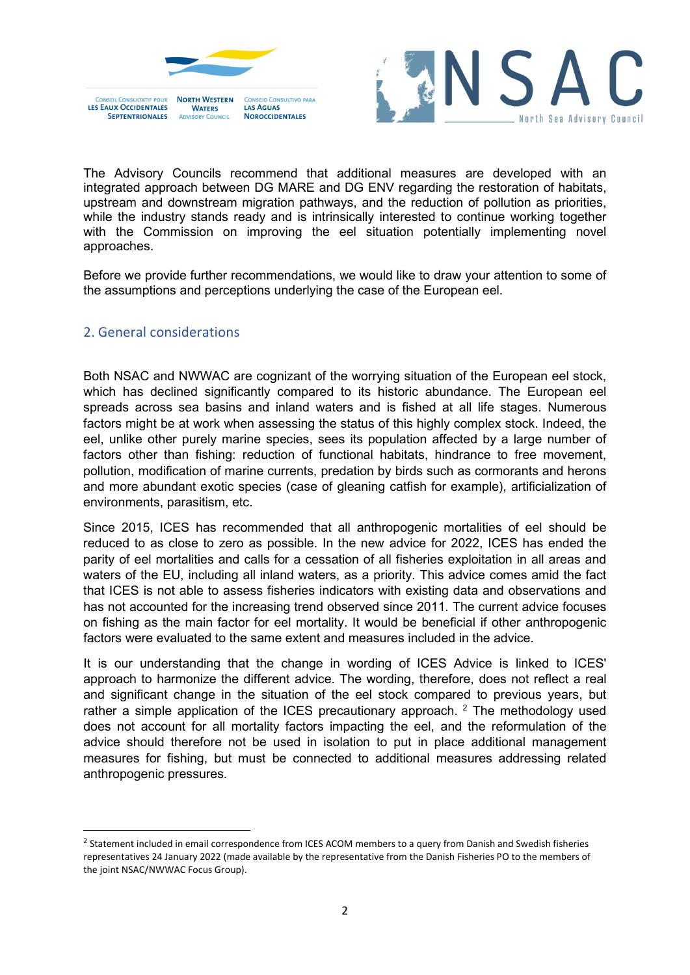





The Advisory Councils recommend that additional measures are developed with an integrated approach between DG MARE and DG ENV regarding the restoration of habitats, upstream and downstream migration pathways, and the reduction of pollution as priorities, while the industry stands ready and is intrinsically interested to continue working together with the Commission on improving the eel situation potentially implementing novel approaches.

Before we provide further recommendations, we would like to draw your attention to some of the assumptions and perceptions underlying the case of the European eel.

#### 2. General considerations

Both NSAC and NWWAC are cognizant of the worrying situation of the European eel stock, which has declined significantly compared to its historic abundance. The European eel spreads across sea basins and inland waters and is fished at all life stages. Numerous factors might be at work when assessing the status of this highly complex stock. Indeed, the eel, unlike other purely marine species, sees its population affected by a large number of factors other than fishing: reduction of functional habitats, hindrance to free movement, pollution, modification of marine currents, predation by birds such as cormorants and herons and more abundant exotic species (case of gleaning catfish for example), artificialization of environments, parasitism, etc.

Since 2015, ICES has recommended that all anthropogenic mortalities of eel should be reduced to as close to zero as possible. In the new advice for 2022, ICES has ended the parity of eel mortalities and calls for a cessation of all fisheries exploitation in all areas and waters of the EU, including all inland waters, as a priority. This advice comes amid the fact that ICES is not able to assess fisheries indicators with existing data and observations and has not accounted for the increasing trend observed since 2011. The current advice focuses on fishing as the main factor for eel mortality. It would be beneficial if other anthropogenic factors were evaluated to the same extent and measures included in the advice.

It is our understanding that the change in wording of ICES Advice is linked to ICES' approach to harmonize the different advice. The wording, therefore, does not reflect a real and significant change in the situation of the eel stock compared to previous years, but rather a simple application of the ICES precautionary approach.  $2$  The methodology used does not account for all mortality factors impacting the eel, and the reformulation of the advice should therefore not be used in isolation to put in place additional management measures for fishing, but must be connected to additional measures addressing related anthropogenic pressures.

<span id="page-1-0"></span><sup>&</sup>lt;sup>2</sup> Statement included in email correspondence from ICES ACOM members to a query from Danish and Swedish fisheries representatives 24 January 2022 (made available by the representative from the Danish Fisheries PO to the members of the joint NSAC/NWWAC Focus Group).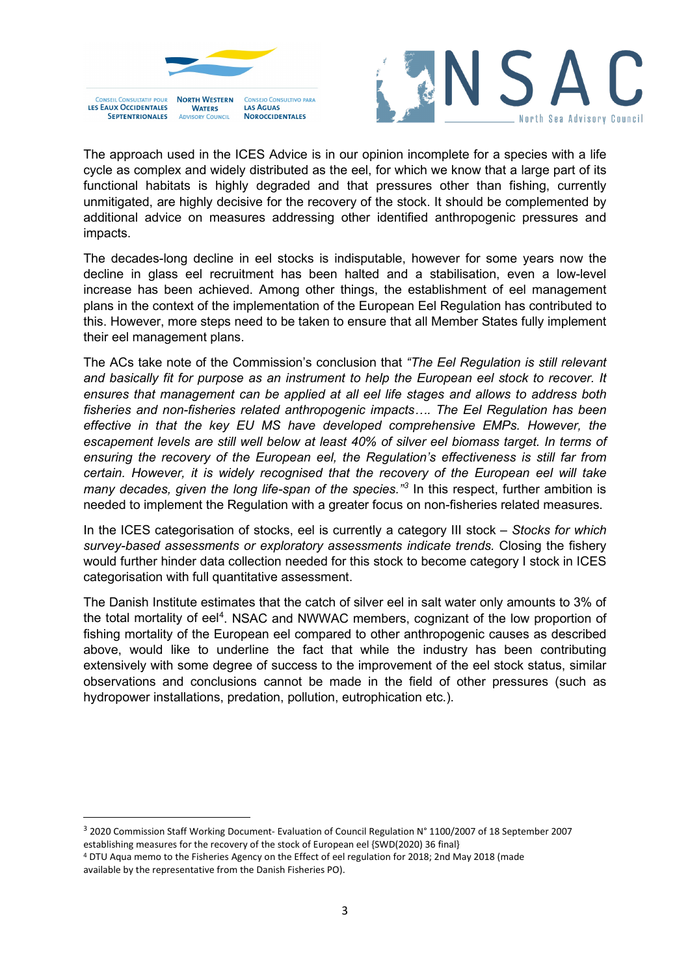

CONSEIL CONSULTATIE POLIP **NORTH WESTERN** CONSEIO CONSULTIVO PARA LES EAUX OCCIDENTALES LAS AGUAS **WATERS NOROCCIDENTALES SEPTENTRIONALES** 



The approach used in the ICES Advice is in our opinion incomplete for a species with a life cycle as complex and widely distributed as the eel, for which we know that a large part of its functional habitats is highly degraded and that pressures other than fishing, currently unmitigated, are highly decisive for the recovery of the stock. It should be complemented by additional advice on measures addressing other identified anthropogenic pressures and impacts.

The decades-long decline in eel stocks is indisputable, however for some years now the decline in glass eel recruitment has been halted and a stabilisation, even a low-level increase has been achieved. Among other things, the establishment of eel management plans in the context of the implementation of the European Eel Regulation has contributed to this. However, more steps need to be taken to ensure that all Member States fully implement their eel management plans.

The ACs take note of the Commission's conclusion that *"The Eel Regulation is still relevant and basically fit for purpose as an instrument to help the European eel stock to recover. It ensures that management can be applied at all eel life stages and allows to address both fisheries and non-fisheries related anthropogenic impacts…. The Eel Regulation has been effective in that the key EU MS have developed comprehensive EMPs. However, the escapement levels are still well below at least 40% of silver eel biomass target. In terms of ensuring the recovery of the European eel, the Regulation's effectiveness is still far from certain. However, it is widely recognised that the recovery of the European eel will take many decades, given the long life-span of the species." [3](#page-2-0)* In this respect, further ambition is needed to implement the Regulation with a greater focus on non-fisheries related measures.

In the ICES categorisation of stocks, eel is currently a category III stock – *Stocks for which survey-based assessments or exploratory assessments indicate trends.* Closing the fishery would further hinder data collection needed for this stock to become category I stock in ICES categorisation with full quantitative assessment.

The Danish Institute estimates that the catch of silver eel in salt water only amounts to 3% of the total mortality of eel<sup>4</sup>. NSAC and NWWAC members, cognizant of the low proportion of fishing mortality of the European eel compared to other anthropogenic causes as described above, would like to underline the fact that while the industry has been contributing extensively with some degree of success to the improvement of the eel stock status, similar observations and conclusions cannot be made in the field of other pressures (such as hydropower installations, predation, pollution, eutrophication etc.).

<span id="page-2-0"></span><sup>3</sup> 2020 Commission Staff Working Document- Evaluation of Council Regulation N° 1100/2007 of 18 September 2007 establishing measures for the recovery of the stock of European eel {SWD(2020) 36 final}

<span id="page-2-1"></span><sup>4</sup> DTU Aqua memo to the Fisheries Agency on the Effect of eel regulation for 2018; 2nd May 2018 (made available by the representative from the Danish Fisheries PO).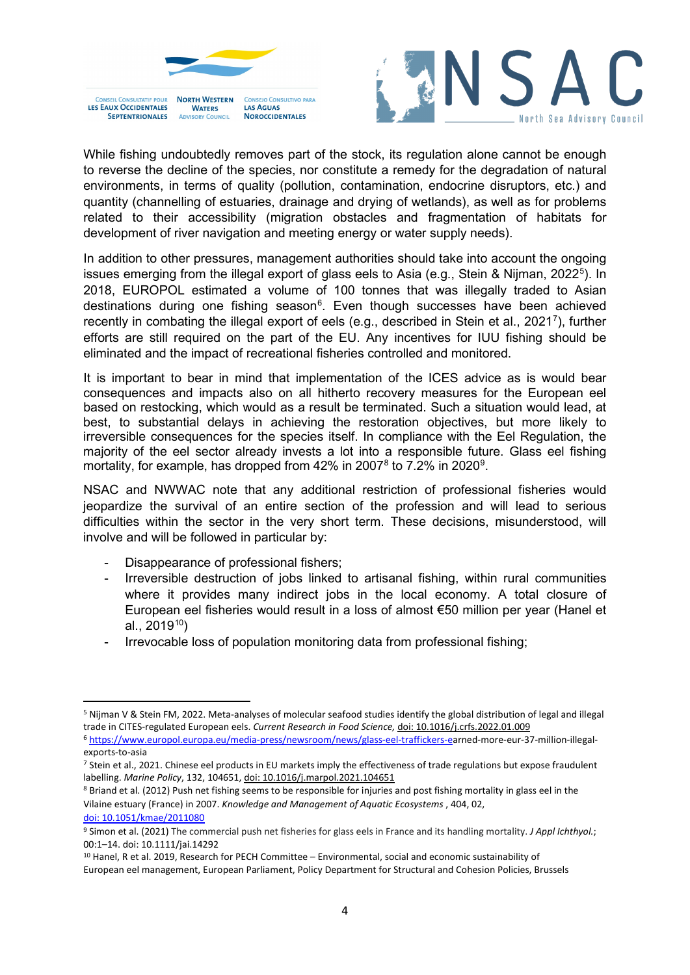

CONSEIL CONSULTATIE POUP **NORTH WESTERN** CONSEIO CONSULTIVO PARA LES EAUX OCCIDENTALES **LAS AGUAS WATERS NOROCCIDENTALES SEPTENTRIONALES** COUNCIL



While fishing undoubtedly removes part of the stock, its regulation alone cannot be enough to reverse the decline of the species, nor constitute a remedy for the degradation of natural environments, in terms of quality (pollution, contamination, endocrine disruptors, etc.) and quantity (channelling of estuaries, drainage and drying of wetlands), as well as for problems related to their accessibility (migration obstacles and fragmentation of habitats for development of river navigation and meeting energy or water supply needs).

In addition to other pressures, management authorities should take into account the ongoing issues emerging from the illegal export of glass eels to Asia (e.g., Stein & Nijman, 2022<sup>[5](#page-3-0)</sup>). In 2018, EUROPOL estimated a volume of 100 tonnes that was illegally traded to Asian destinations during one fishing season<sup>[6](#page-3-1)</sup>. Even though successes have been achieved recently in combating the illegal export of eels (e.g., described in Stein et al., 2021<sup>7</sup>), further efforts are still required on the part of the EU. Any incentives for IUU fishing should be eliminated and the impact of recreational fisheries controlled and monitored.

It is important to bear in mind that implementation of the ICES advice as is would bear consequences and impacts also on all hitherto recovery measures for the European eel based on restocking, which would as a result be terminated. Such a situation would lead, at best, to substantial delays in achieving the restoration objectives, but more likely to irreversible consequences for the species itself. In compliance with the Eel Regulation, the majority of the eel sector already invests a lot into a responsible future. Glass eel fishing mortality, for example, has dropped from 42% in 2007 $^{\rm 8}$  $^{\rm 8}$  $^{\rm 8}$  to 7.2% in 2020 $^{\rm 9}$  $^{\rm 9}$  $^{\rm 9}$ .

NSAC and NWWAC note that any additional restriction of professional fisheries would jeopardize the survival of an entire section of the profession and will lead to serious difficulties within the sector in the very short term. These decisions, misunderstood, will involve and will be followed in particular by:

- Disappearance of professional fishers;
- Irreversible destruction of jobs linked to artisanal fishing, within rural communities where it provides many indirect jobs in the local economy. A total closure of European eel fisheries would result in a loss of almost €50 million per year (Hanel et al.,  $2019^{10}$  $2019^{10}$  $2019^{10}$
- Irrevocable loss of population monitoring data from professional fishing;

[doi: 10.1051/kmae/2011080](https://doi.org/10.1051/kmae/2011080)

<span id="page-3-0"></span><sup>5</sup> Nijman V & Stein FM, 2022. Meta-analyses of molecular seafood studies identify the global distribution of legal and illegal trade in CITES-regulated European eels. *Current Research in Food Science,* [doi: 10.1016/j.crfs.2022.01.009](https://doi.org/10.1016/j.crfs.2022.01.009) <sup>6</sup> [https://www.europol.europa.eu/media-press/newsroom/news/glass-eel-traffickers-ea](https://www.europol.europa.eu/media-press/newsroom/news/glass-eel-traffickers-e)rned-more-eur-37-million-illegal-

<span id="page-3-2"></span><span id="page-3-1"></span>

exports-to-asia<br>7 Stein et al., 2021. Chinese eel products in EU markets imply the effectiveness of trade regulations but expose fraudulent labelling. *Marine Policy*, 132, 104651[, doi: 10.1016/j.marpol.2021.104651](https://authors.elsevier.com/a/1dIIe,714MjKvz)

<span id="page-3-3"></span><sup>8</sup> Briand et al. (2012) Push net fishing seems to be responsible for injuries and post fishing mortality in glass eel in the Vilaine estuary (France) in 2007. *Knowledge and Management of Aquatic Ecosystems* , 404, 02[,](https://doi.org/10.1051/kmae/2011080) 

<span id="page-3-4"></span><sup>9</sup> Simon et al. (2021) The commercial push net fisheries for glass eels in France and its handling mortality. *J Appl Ichthyol.*; 00:1–14. doi: 10.1111/jai.14292<br><sup>10</sup> Hanel, R et al. 2019, Research for PECH Committee – Environmental, social and economic sustainability of

<span id="page-3-5"></span>European eel management, European Parliament, Policy Department for Structural and Cohesion Policies, Brussels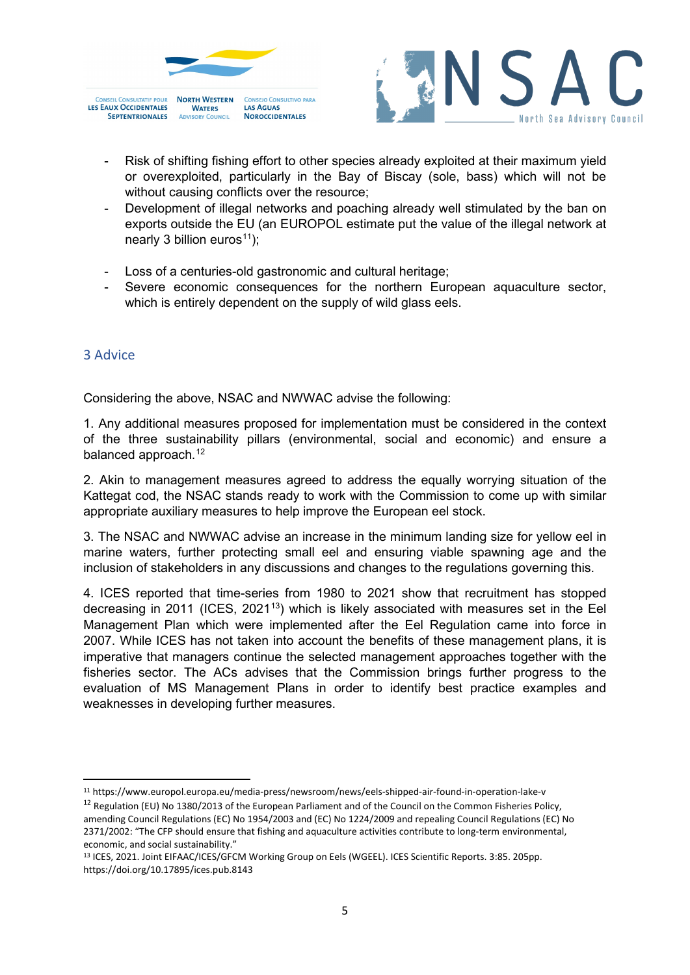



- Risk of shifting fishing effort to other species already exploited at their maximum yield or overexploited, particularly in the Bay of Biscay (sole, bass) which will not be without causing conflicts over the resource;
- Development of illegal networks and poaching already well stimulated by the ban on exports outside the EU (an EUROPOL estimate put the value of the illegal network at nearly 3 billion euros<sup>[11](#page-4-0)</sup>);
- Loss of a centuries-old gastronomic and cultural heritage;
- Severe economic consequences for the northern European aquaculture sector, which is entirely dependent on the supply of wild glass eels.

## 3 Advice

Considering the above, NSAC and NWWAC advise the following:

1. Any additional measures proposed for implementation must be considered in the context of the three sustainability pillars (environmental, social and economic) and ensure a balanced approach.<sup>[12](#page-4-1)</sup>

2. Akin to management measures agreed to address the equally worrying situation of the Kattegat cod, the NSAC stands ready to work with the Commission to come up with similar appropriate auxiliary measures to help improve the European eel stock.

3. The NSAC and NWWAC advise an increase in the minimum landing size for yellow eel in marine waters, further protecting small eel and ensuring viable spawning age and the inclusion of stakeholders in any discussions and changes to the regulations governing this.

4. ICES reported that time-series from 1980 to 2021 show that recruitment has stopped decreasing in 2011 (ICES, 2021<sup>13</sup>) which is likely associated with measures set in the Eel Management Plan which were implemented after the Eel Regulation came into force in 2007. While ICES has not taken into account the benefits of these management plans, it is imperative that managers continue the selected management approaches together with the fisheries sector. The ACs advises that the Commission brings further progress to the evaluation of MS Management Plans in order to identify best practice examples and weaknesses in developing further measures.

<span id="page-4-0"></span><sup>11</sup> https://www.europol.europa.eu/media-press/newsroom/news/eels-shipped-air-found-in-operation-lake-v

<span id="page-4-1"></span> $12$  Regulation (EU) No 1380/2013 of the European Parliament and of the Council on the Common Fisheries Policy, amending Council Regulations (EC) No 1954/2003 and (EC) No 1224/2009 and repealing Council Regulations (EC) No 2371/2002: "The CFP should ensure that fishing and aquaculture activities contribute to long-term environmental, economic, and social sustainability."

<span id="page-4-2"></span><sup>13</sup> ICES, 2021. Joint EIFAAC/ICES/GFCM Working Group on Eels (WGEEL). ICES Scientific Reports. 3:85. 205pp. https://doi.org/10.17895/ices.pub.8143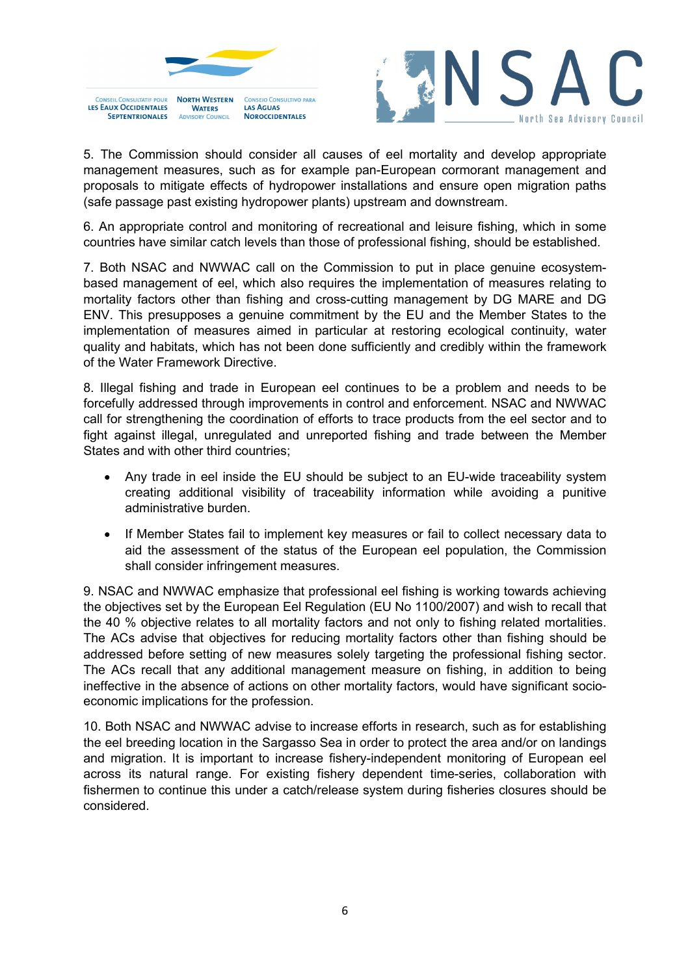

**WATERS** 

**SEPTENTRIONALES** 

**LAS AGUAS** 

**NOROCCIDENTALES** 



5. The Commission should consider all causes of eel mortality and develop appropriate management measures, such as for example pan-European cormorant management and proposals to mitigate effects of hydropower installations and ensure open migration paths (safe passage past existing hydropower plants) upstream and downstream.

6. An appropriate control and monitoring of recreational and leisure fishing, which in some countries have similar catch levels than those of professional fishing, should be established.

7. Both NSAC and NWWAC call on the Commission to put in place genuine ecosystembased management of eel, which also requires the implementation of measures relating to mortality factors other than fishing and cross-cutting management by DG MARE and DG ENV. This presupposes a genuine commitment by the EU and the Member States to the implementation of measures aimed in particular at restoring ecological continuity, water quality and habitats, which has not been done sufficiently and credibly within the framework of the Water Framework Directive.

8. Illegal fishing and trade in European eel continues to be a problem and needs to be forcefully addressed through improvements in control and enforcement. NSAC and NWWAC call for strengthening the coordination of efforts to trace products from the eel sector and to fight against illegal, unregulated and unreported fishing and trade between the Member States and with other third countries;

- Any trade in eel inside the EU should be subject to an EU-wide traceability system creating additional visibility of traceability information while avoiding a punitive administrative burden.
- If Member States fail to implement key measures or fail to collect necessary data to aid the assessment of the status of the European eel population, the Commission shall consider infringement measures.

9. NSAC and NWWAC emphasize that professional eel fishing is working towards achieving the objectives set by the European Eel Regulation (EU No 1100/2007) and wish to recall that the 40 % objective relates to all mortality factors and not only to fishing related mortalities. The ACs advise that objectives for reducing mortality factors other than fishing should be addressed before setting of new measures solely targeting the professional fishing sector. The ACs recall that any additional management measure on fishing, in addition to being ineffective in the absence of actions on other mortality factors, would have significant socioeconomic implications for the profession.

10. Both NSAC and NWWAC advise to increase efforts in research, such as for establishing the eel breeding location in the Sargasso Sea in order to protect the area and/or on landings and migration. It is important to increase fishery-independent monitoring of European eel across its natural range. For existing fishery dependent time-series, collaboration with fishermen to continue this under a catch/release system during fisheries closures should be considered.